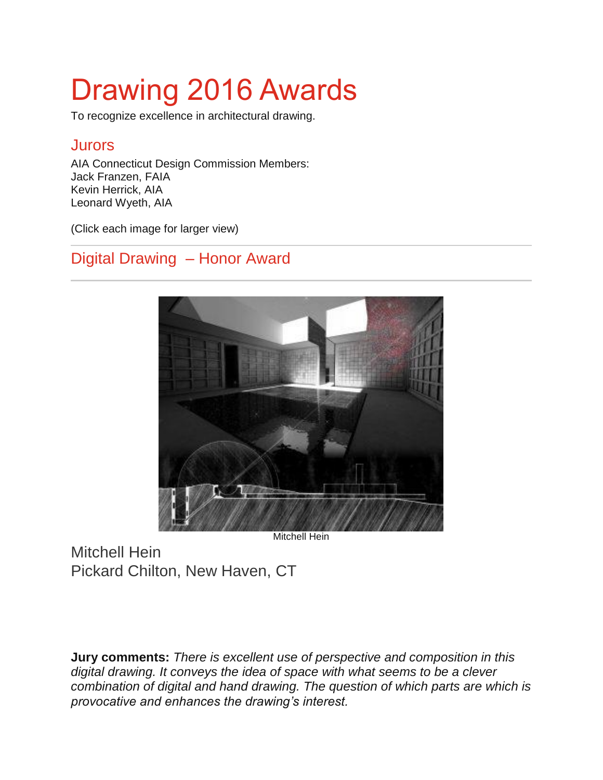# Drawing 2016 Awards

To recognize excellence in architectural drawing.

#### **Jurors**

AIA Connecticut Design Commission Members: Jack Franzen, FAIA Kevin Herrick, AIA Leonard Wyeth, AIA

(Click each image for larger view)

#### Digital Drawing – Honor Award



Mitchell Hein

Mitchell Hein Pickard Chilton, New Haven, CT

**Jury comments:** *There is excellent use of perspective and composition in this digital drawing. It conveys the idea of space with what seems to be a clever combination of digital and hand drawing. The question of which parts are which is provocative and enhances the drawing's interest.*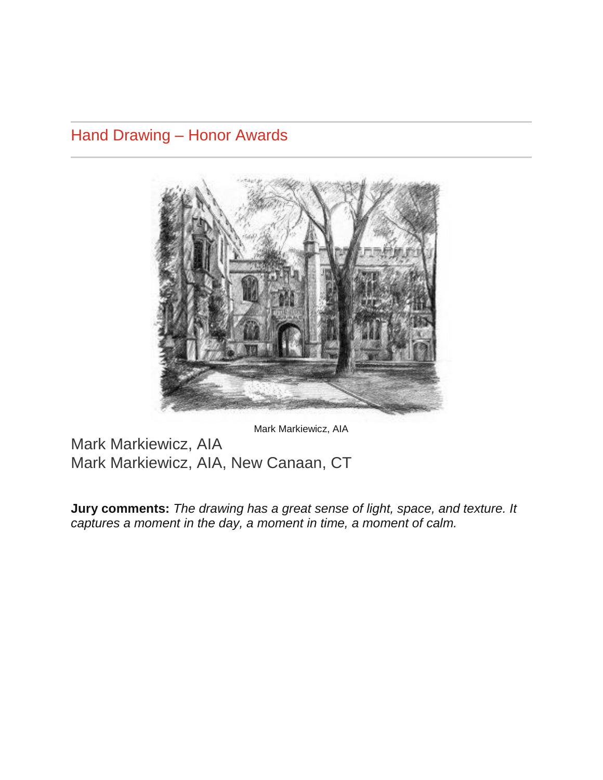Hand Drawing – Honor Awards



Mark Markiewicz, AIA

Mark Markiewicz, AIA Mark Markiewicz, AIA, New Canaan, CT

**Jury comments:** *The drawing has a great sense of light, space, and texture. It captures a moment in the day, a moment in time, a moment of calm.*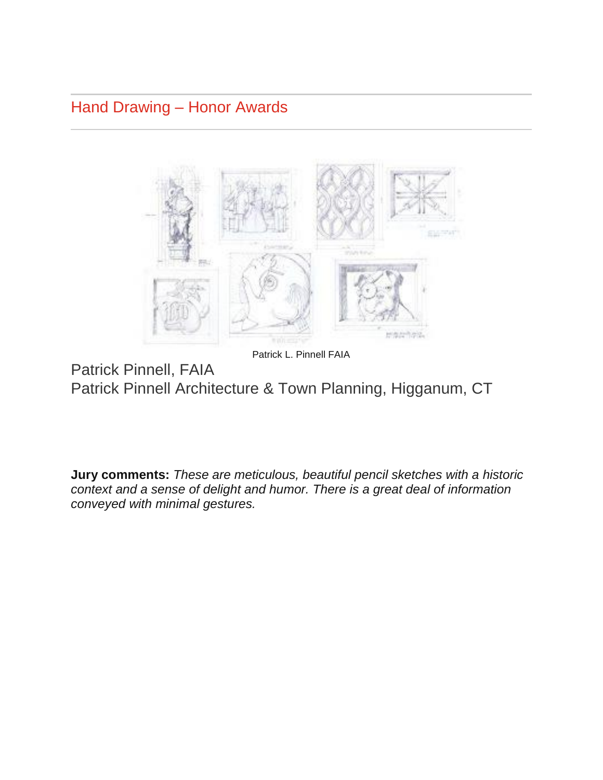Hand Drawing – Honor Awards



Patrick L. Pinnell FAIA

Patrick Pinnell, FAIA Patrick Pinnell Architecture & Town Planning, Higganum, CT

**Jury comments:** *These are meticulous, beautiful pencil sketches with a historic context and a sense of delight and humor. There is a great deal of information conveyed with minimal gestures.*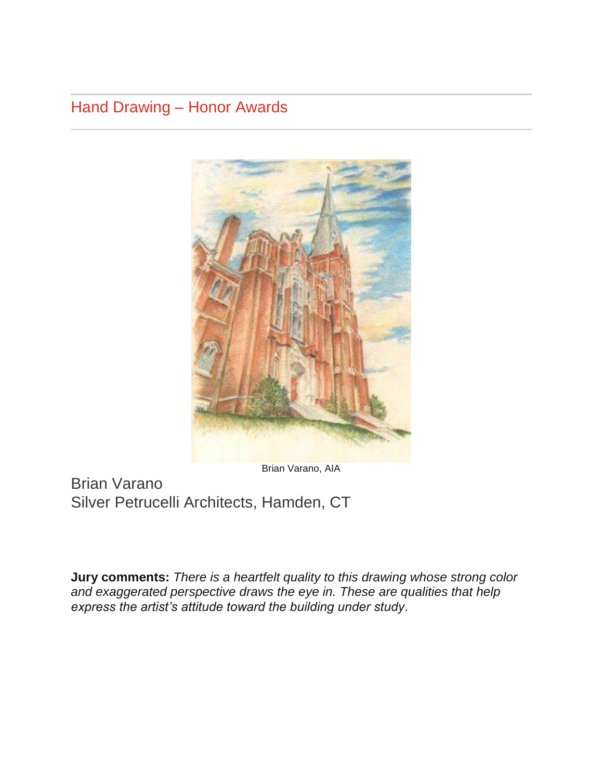## Hand Drawing – Honor Awards



Brian Varano, AIA

Brian Varano Silver Petrucelli Architects, Hamden, CT

**Jury comments:** *There is a heartfelt quality to this drawing whose strong color and exaggerated perspective draws the eye in. These are qualities that help express the artist's attitude toward the building under study*.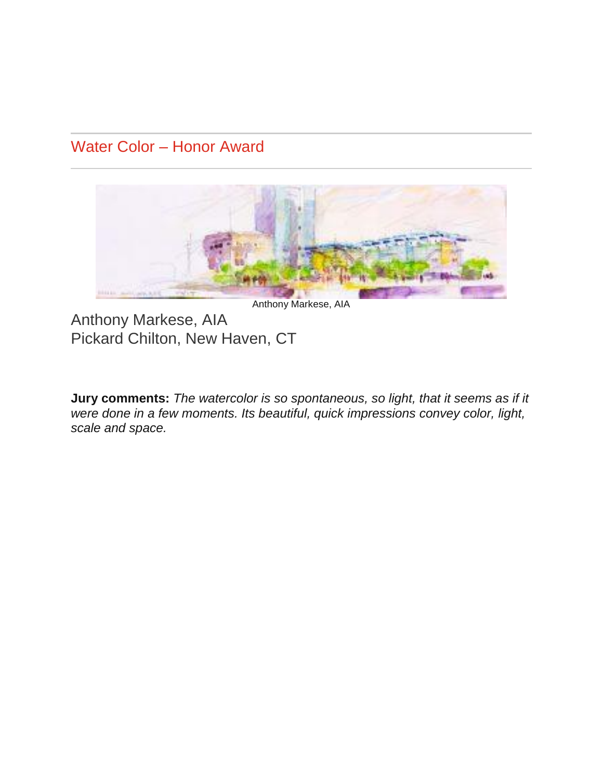### Water Color – Honor Award



Anthony Markese, AIA

Anthony Markese, AIA Pickard Chilton, New Haven, CT

**Jury comments:** *The watercolor is so spontaneous, so light, that it seems as if it were done in a few moments. Its beautiful, quick impressions convey color, light, scale and space.*